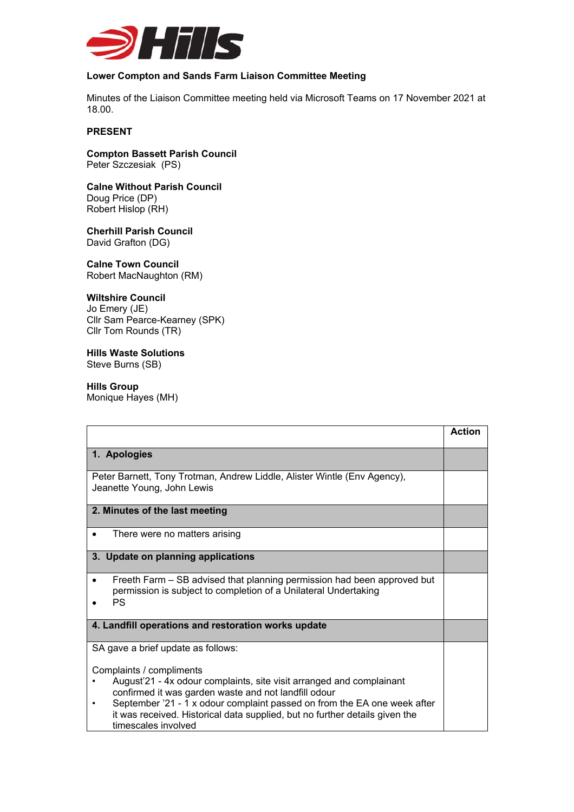

# **Lower Compton and Sands Farm Liaison Committee Meeting**

Minutes of the Liaison Committee meeting held via Microsoft Teams on 17 November 2021 at 18.00.

## **PRESENT**

## **Compton Bassett Parish Council**  Peter Szczesiak (PS)

## **Calne Without Parish Council**  Doug Price (DP)

Robert Hislop (RH)

### **Cherhill Parish Council**  David Grafton (DG)

**Calne Town Council**  Robert MacNaughton (RM)

# **Wiltshire Council**

Jo Emery (JE) Cllr Sam Pearce-Kearney (SPK) Cllr Tom Rounds (TR)

### **Hills Waste Solutions**  Steve Burns (SB)

# **Hills Group**

Monique Hayes (MH)

|                                                                                                                                                                                                                                                                                                                                            | <b>Action</b> |
|--------------------------------------------------------------------------------------------------------------------------------------------------------------------------------------------------------------------------------------------------------------------------------------------------------------------------------------------|---------------|
| 1. Apologies                                                                                                                                                                                                                                                                                                                               |               |
| Peter Barnett, Tony Trotman, Andrew Liddle, Alister Wintle (Env Agency),<br>Jeanette Young, John Lewis                                                                                                                                                                                                                                     |               |
| 2. Minutes of the last meeting                                                                                                                                                                                                                                                                                                             |               |
| There were no matters arising                                                                                                                                                                                                                                                                                                              |               |
| 3. Update on planning applications                                                                                                                                                                                                                                                                                                         |               |
| Freeth Farm – SB advised that planning permission had been approved but<br>$\bullet$<br>permission is subject to completion of a Unilateral Undertaking<br><b>PS</b>                                                                                                                                                                       |               |
| 4. Landfill operations and restoration works update                                                                                                                                                                                                                                                                                        |               |
| SA gave a brief update as follows:                                                                                                                                                                                                                                                                                                         |               |
| Complaints / compliments<br>August'21 - 4x odour complaints, site visit arranged and complainant<br>confirmed it was garden waste and not landfill odour<br>September '21 - 1 x odour complaint passed on from the EA one week after<br>it was received. Historical data supplied, but no further details given the<br>timescales involved |               |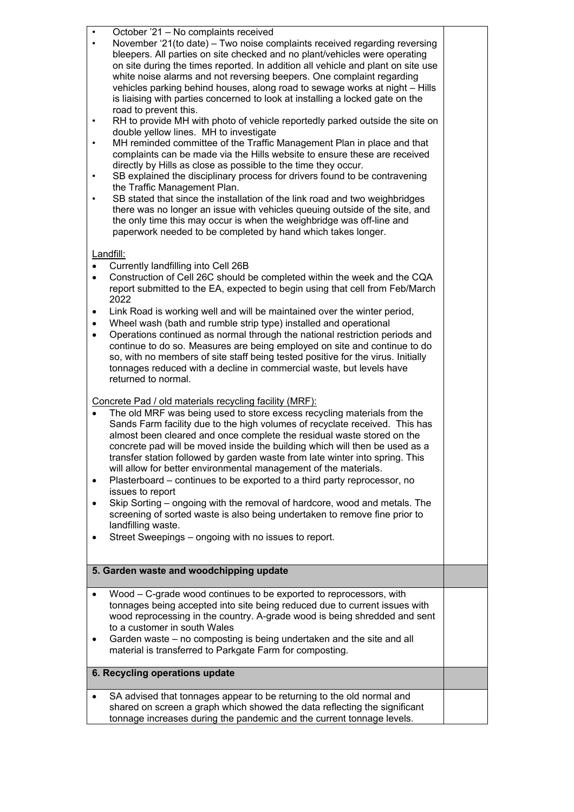• October '21 – No complaints received

- November '21(to date) Two noise complaints received regarding reversing bleepers. All parties on site checked and no plant/vehicles were operating on site during the times reported. In addition all vehicle and plant on site use white noise alarms and not reversing beepers. One complaint regarding vehicles parking behind houses, along road to sewage works at night – Hills is liaising with parties concerned to look at installing a locked gate on the road to prevent this.
- RH to provide MH with photo of vehicle reportedly parked outside the site on double yellow lines. MH to investigate
- MH reminded committee of the Traffic Management Plan in place and that complaints can be made via the Hills website to ensure these are received directly by Hills as close as possible to the time they occur.
- SB explained the disciplinary process for drivers found to be contravening the Traffic Management Plan.
- SB stated that since the installation of the link road and two weighbridges there was no longer an issue with vehicles queuing outside of the site, and the only time this may occur is when the weighbridge was off-line and paperwork needed to be completed by hand which takes longer.

# Landfill:

- Currently landfilling into Cell 26B
- Construction of Cell 26C should be completed within the week and the CQA report submitted to the EA, expected to begin using that cell from Feb/March 2022
- Link Road is working well and will be maintained over the winter period,
- Wheel wash (bath and rumble strip type) installed and operational
- Operations continued as normal through the national restriction periods and continue to do so. Measures are being employed on site and continue to do so, with no members of site staff being tested positive for the virus. Initially tonnages reduced with a decline in commercial waste, but levels have returned to normal.

# Concrete Pad / old materials recycling facility (MRF):

- The old MRF was being used to store excess recycling materials from the Sands Farm facility due to the high volumes of recyclate received. This has almost been cleared and once complete the residual waste stored on the concrete pad will be moved inside the building which will then be used as a transfer station followed by garden waste from late winter into spring. This will allow for better environmental management of the materials.
- Plasterboard continues to be exported to a third party reprocessor, no issues to report
- Skip Sorting ongoing with the removal of hardcore, wood and metals. The screening of sorted waste is also being undertaken to remove fine prior to landfilling waste.
- Street Sweepings ongoing with no issues to report.

# **5. Garden waste and woodchipping update**  Wood – C-grade wood continues to be exported to reprocessors, with tonnages being accepted into site being reduced due to current issues with wood reprocessing in the country. A-grade wood is being shredded and sent to a customer in south Wales

 Garden waste – no composting is being undertaken and the site and all material is transferred to Parkgate Farm for composting.

# **6. Recycling operations update**

 SA advised that tonnages appear to be returning to the old normal and shared on screen a graph which showed the data reflecting the significant tonnage increases during the pandemic and the current tonnage levels.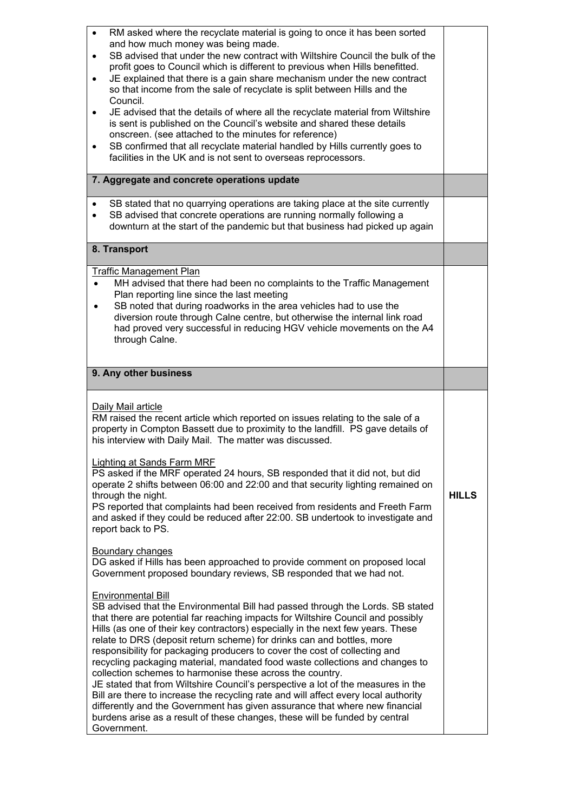| RM asked where the recyclate material is going to once it has been sorted<br>$\bullet$<br>and how much money was being made.<br>SB advised that under the new contract with Wiltshire Council the bulk of the<br>$\bullet$<br>profit goes to Council which is different to previous when Hills benefitted.<br>JE explained that there is a gain share mechanism under the new contract<br>$\bullet$<br>so that income from the sale of recyclate is split between Hills and the<br>Council.<br>JE advised that the details of where all the recyclate material from Wiltshire<br>is sent is published on the Council's website and shared these details<br>onscreen. (see attached to the minutes for reference)<br>SB confirmed that all recyclate material handled by Hills currently goes to<br>facilities in the UK and is not sent to overseas reprocessors. |              |
|-------------------------------------------------------------------------------------------------------------------------------------------------------------------------------------------------------------------------------------------------------------------------------------------------------------------------------------------------------------------------------------------------------------------------------------------------------------------------------------------------------------------------------------------------------------------------------------------------------------------------------------------------------------------------------------------------------------------------------------------------------------------------------------------------------------------------------------------------------------------|--------------|
| 7. Aggregate and concrete operations update                                                                                                                                                                                                                                                                                                                                                                                                                                                                                                                                                                                                                                                                                                                                                                                                                       |              |
| SB stated that no quarrying operations are taking place at the site currently<br>SB advised that concrete operations are running normally following a<br>$\bullet$<br>downturn at the start of the pandemic but that business had picked up again                                                                                                                                                                                                                                                                                                                                                                                                                                                                                                                                                                                                                 |              |
| 8. Transport                                                                                                                                                                                                                                                                                                                                                                                                                                                                                                                                                                                                                                                                                                                                                                                                                                                      |              |
| <b>Traffic Management Plan</b><br>MH advised that there had been no complaints to the Traffic Management<br>Plan reporting line since the last meeting<br>SB noted that during roadworks in the area vehicles had to use the<br>diversion route through Calne centre, but otherwise the internal link road<br>had proved very successful in reducing HGV vehicle movements on the A4<br>through Calne.                                                                                                                                                                                                                                                                                                                                                                                                                                                            |              |
| 9. Any other business                                                                                                                                                                                                                                                                                                                                                                                                                                                                                                                                                                                                                                                                                                                                                                                                                                             |              |
| Daily Mail article<br>RM raised the recent article which reported on issues relating to the sale of a<br>property in Compton Bassett due to proximity to the landfill. PS gave details of<br>his interview with Daily Mail. The matter was discussed.<br><b>Lighting at Sands Farm MRF</b><br>PS asked if the MRF operated 24 hours, SB responded that it did not, but did<br>operate 2 shifts between 06:00 and 22:00 and that security lighting remained on<br>through the night.<br>PS reported that complaints had been received from residents and Freeth Farm<br>and asked if they could be reduced after 22:00. SB undertook to investigate and<br>report back to PS.                                                                                                                                                                                      | <b>HILLS</b> |
| Boundary changes<br>DG asked if Hills has been approached to provide comment on proposed local<br>Government proposed boundary reviews, SB responded that we had not.                                                                                                                                                                                                                                                                                                                                                                                                                                                                                                                                                                                                                                                                                             |              |
|                                                                                                                                                                                                                                                                                                                                                                                                                                                                                                                                                                                                                                                                                                                                                                                                                                                                   |              |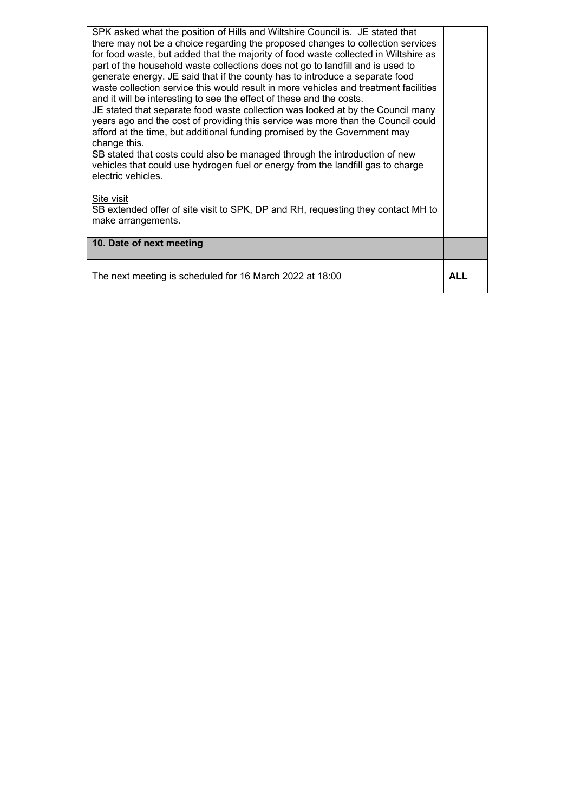| SPK asked what the position of Hills and Wiltshire Council is. JE stated that<br>there may not be a choice regarding the proposed changes to collection services<br>for food waste, but added that the majority of food waste collected in Wiltshire as<br>part of the household waste collections does not go to landfill and is used to<br>generate energy. JE said that if the county has to introduce a separate food<br>waste collection service this would result in more vehicles and treatment facilities<br>and it will be interesting to see the effect of these and the costs.<br>JE stated that separate food waste collection was looked at by the Council many<br>years ago and the cost of providing this service was more than the Council could<br>afford at the time, but additional funding promised by the Government may<br>change this.<br>SB stated that costs could also be managed through the introduction of new<br>vehicles that could use hydrogen fuel or energy from the landfill gas to charge<br>electric vehicles.<br>Site visit<br>SB extended offer of site visit to SPK, DP and RH, requesting they contact MH to<br>make arrangements. |     |
|------------------------------------------------------------------------------------------------------------------------------------------------------------------------------------------------------------------------------------------------------------------------------------------------------------------------------------------------------------------------------------------------------------------------------------------------------------------------------------------------------------------------------------------------------------------------------------------------------------------------------------------------------------------------------------------------------------------------------------------------------------------------------------------------------------------------------------------------------------------------------------------------------------------------------------------------------------------------------------------------------------------------------------------------------------------------------------------------------------------------------------------------------------------------------|-----|
| 10. Date of next meeting                                                                                                                                                                                                                                                                                                                                                                                                                                                                                                                                                                                                                                                                                                                                                                                                                                                                                                                                                                                                                                                                                                                                                     |     |
| The next meeting is scheduled for 16 March 2022 at 18:00                                                                                                                                                                                                                                                                                                                                                                                                                                                                                                                                                                                                                                                                                                                                                                                                                                                                                                                                                                                                                                                                                                                     | ALL |